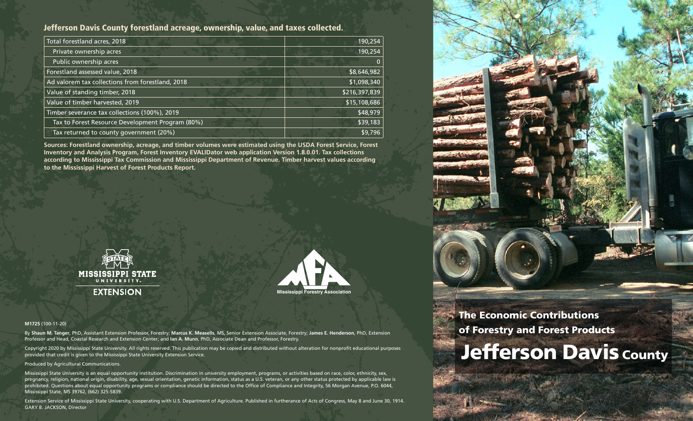# Jefferson Davis County forestland acreage, ownership, value, and taxes collected.

| Total forestland acres, 2018                     | 190,254       |
|--------------------------------------------------|---------------|
| Private ownership acres                          | 190,254       |
| Public ownership acres                           | $\mathbf{0}$  |
| Forestland assessed value, 2018                  | \$8,646,982   |
| Ad valorem tax collections from forestland, 2018 | \$1,098,340   |
| Value of standing timber, 2018                   | \$216,397,839 |
| Value of timber harvested, 2019                  | \$15,108,686  |
| Timber severance tax collections (100%), 2019    | \$48,979      |
| Tax to Forest Resource Development Program (80%) | \$39,183      |
| Tax returned to county government (20%)          | \$9,796       |

**Sources: Forestland ownership, acreage, and timber volumes were estimated using the USDA Forest Service, Forest Inventory and Analysis Program, Forest Inventory EVALIDator web application Version 1.8.0.01. Tax collections according to Mississippi Tax Commission and Mississippi Department of Revenue. Timber harvest values according to the Mississippi Harvest of Forest Products Report.**





#### **M1725** (100-11-20)

By **Shaun M. Tanger**, PhD, Assistant Extension Professor, Forestry; **Marcus K. Measells**, MS, Senior Extension Associate, Forestry; **James E. Henderson**, PhD, Extension Professor and Head, Coastal Research and Extension Center; and **Ian A. Munn**, PhD, Associate Dean and Professor, Forestry.

Copyright 2020 by Mississippi State University. All rights reserved. This publication may be copied and distributed without alteration for nonprofit educational purposes provided that credit is given to the Mississippi State University Extension Service.

#### Produced by Agricultural Communications.

Mississippi State University is an equal opportunity institution. Discrimination in university employment, programs, or activities based on race, color, ethnicity, sex, pregnancy, religion, national origin, disability, age, sexual orientation, genetic information, status as a U.S. veteran, or any other status protected by applicable law is prohibited. Questions about equal opportunity programs or compliance should be directed to the Office of Compliance and Integrity, 56 Morgan Avenue, P.O. 6044, Mississippi State, MS 39762, (662) 325-5839.

Extension Service of Mississippi State University, cooperating with U.S. Department of Agriculture. Published in furtherance of Acts of Congress, May 8 and June 30, 1914. GARY B. JACKSON, Director



The Economic Contributions of Forestry and Forest Products **Jefferson Davis County**